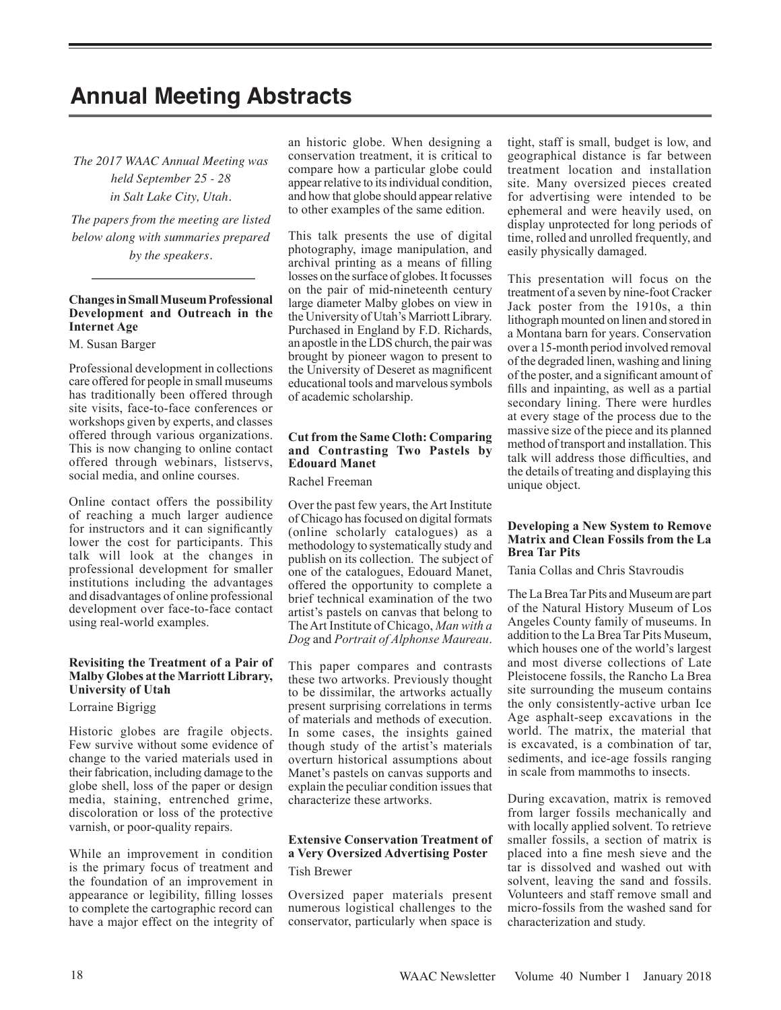# **Annual Meeting Abstracts**

*The 2017 WAAC Annual Meeting was held September 25 - 28 in Salt Lake City, Utah.* 

*The papers from the meeting are listed below along with summaries prepared by the speakers.*

#### **Changes in Small Museum Professional Development and Outreach in the Internet Age**

M. Susan Barger

Professional development in collections care offered for people in small museums has traditionally been offered through site visits, face-to-face conferences or workshops given by experts, and classes offered through various organizations. This is now changing to online contact offered through webinars, listservs, social media, and online courses.

Online contact offers the possibility of reaching a much larger audience for instructors and it can significantly lower the cost for participants. This talk will look at the changes in professional development for smaller institutions including the advantages and disadvantages of online professional development over face-to-face contact using real-world examples.

#### **Revisiting the Treatment of a Pair of Malby Globes at the Marriott Library, University of Utah**

#### Lorraine Bigrigg

Historic globes are fragile objects. Few survive without some evidence of change to the varied materials used in their fabrication, including damage to the globe shell, loss of the paper or design media, staining, entrenched grime, discoloration or loss of the protective varnish, or poor-quality repairs.

While an improvement in condition is the primary focus of treatment and the foundation of an improvement in appearance or legibility, filling losses to complete the cartographic record can have a major effect on the integrity of an historic globe. When designing a conservation treatment, it is critical to compare how a particular globe could appear relative to its individual condition, and how that globe should appear relative to other examples of the same edition.

This talk presents the use of digital photography, image manipulation, and archival printing as a means of filling losses on the surface of globes. It focusses on the pair of mid-nineteenth century large diameter Malby globes on view in the University of Utah's Marriott Library. Purchased in England by F.D. Richards, an apostle in the LDS church, the pair was brought by pioneer wagon to present to the University of Deseret as magnificent educational tools and marvelous symbols of academic scholarship.

#### **Cut from the Same Cloth: Comparing and Contrasting Two Pastels by Edouard Manet**

Rachel Freeman

Over the past few years, the Art Institute of Chicago has focused on digital formats (online scholarly catalogues) as a methodology to systematically study and publish on its collection. The subject of one of the catalogues, Edouard Manet, offered the opportunity to complete a brief technical examination of the two artist's pastels on canvas that belong to The Art Institute of Chicago, *Man with a Dog* and *Portrait of Alphonse Maureau*.

This paper compares and contrasts these two artworks. Previously thought to be dissimilar, the artworks actually present surprising correlations in terms of materials and methods of execution. In some cases, the insights gained though study of the artist's materials overturn historical assumptions about Manet's pastels on canvas supports and explain the peculiar condition issues that characterize these artworks.

#### **Extensive Conservation Treatment of a Very Oversized Advertising Poster** Tish Brewer

Oversized paper materials present numerous logistical challenges to the conservator, particularly when space is tight, staff is small, budget is low, and geographical distance is far between treatment location and installation site. Many oversized pieces created for advertising were intended to be ephemeral and were heavily used, on display unprotected for long periods of time, rolled and unrolled frequently, and easily physically damaged.

This presentation will focus on the treatment of a seven by nine-foot Cracker Jack poster from the 1910s, a thin lithograph mounted on linen and stored in a Montana barn for years. Conservation over a 15-month period involved removal of the degraded linen, washing and lining of the poster, and a significant amount of fills and inpainting, as well as a partial secondary lining. There were hurdles at every stage of the process due to the massive size of the piece and its planned method of transport and installation. This talk will address those difficulties, and the details of treating and displaying this unique object.

#### **Developing a New System to Remove Matrix and Clean Fossils from the La Brea Tar Pits**

Tania Collas and Chris Stavroudis

The La Brea Tar Pits and Museum are part of the Natural History Museum of Los Angeles County family of museums. In addition to the La Brea Tar Pits Museum, which houses one of the world's largest and most diverse collections of Late Pleistocene fossils, the Rancho La Brea site surrounding the museum contains the only consistently-active urban Ice Age asphalt-seep excavations in the world. The matrix, the material that is excavated, is a combination of tar, sediments, and ice-age fossils ranging in scale from mammoths to insects.

During excavation, matrix is removed from larger fossils mechanically and with locally applied solvent. To retrieve smaller fossils, a section of matrix is placed into a fine mesh sieve and the tar is dissolved and washed out with solvent, leaving the sand and fossils. Volunteers and staff remove small and micro-fossils from the washed sand for characterization and study.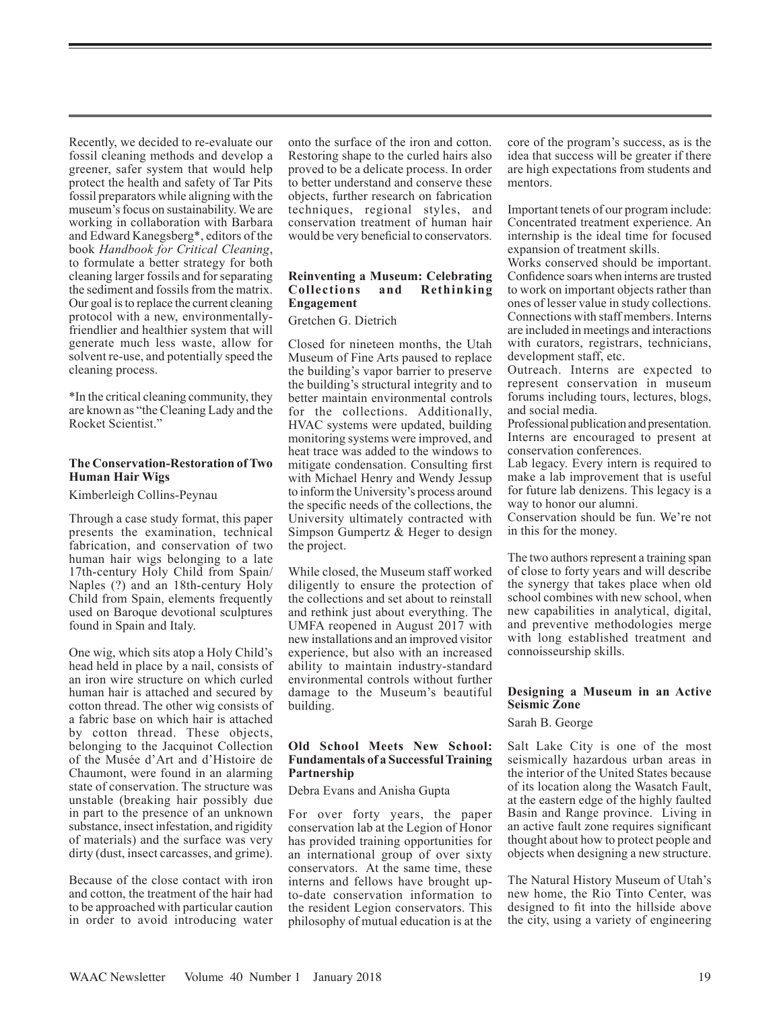Recently, we decided to re-evaluate our fossil cleaning methods and develop a greener, safer system that would help protect the health and safety of Tar Pits fossil preparators while aligning with the museum's focus on sustainability. We are working in collaboration with Barbara and Edward Kanegsberg\*, editors of the book *Handbook for Critical Cleaning*, to formulate a better strategy for both cleaning larger fossils and for separating the sediment and fossils from the matrix. Our goal is to replace the current cleaning protocol with a new, environmentallyfriendlier and healthier system that will generate much less waste, allow for solvent re-use, and potentially speed the cleaning process.

\*In the critical cleaning community, they are known as "the Cleaning Lady and the Rocket Scientist."

#### **The Conservation-Restoration of Two Human Hair Wigs**

Kimberleigh Collins-Peynau

Through a case study format, this paper presents the examination, technical fabrication, and conservation of two human hair wigs belonging to a late 17th-century Holy Child from Spain/ Naples (?) and an 18th-century Holy Child from Spain, elements frequently used on Baroque devotional sculptures found in Spain and Italy.

One wig, which sits atop a Holy Child's head held in place by a nail, consists of an iron wire structure on which curled human hair is attached and secured by cotton thread. The other wig consists of a fabric base on which hair is attached by cotton thread. These objects, belonging to the Jacquinot Collection of the Musée d'Art and d'Histoire de Chaumont, were found in an alarming state of conservation. The structure was unstable (breaking hair possibly due in part to the presence of an unknown substance, insect infestation, and rigidity of materials) and the surface was very dirty (dust, insect carcasses, and grime).

Because of the close contact with iron and cotton, the treatment of the hair had to be approached with particular caution in order to avoid introducing water

onto the surface of the iron and cotton. Restoring shape to the curled hairs also proved to be a delicate process. In order to better understand and conserve these objects, further research on fabrication techniques, regional styles, and conservation treatment of human hair would be very beneficial to conservators.

#### **Reinventing a Museum: Celebrating Collections Engagement**

Gretchen G. Dietrich

Closed for nineteen months, the Utah Museum of Fine Arts paused to replace the building's vapor barrier to preserve the building's structural integrity and to better maintain environmental controls for the collections. Additionally, HVAC systems were updated, building monitoring systems were improved, and heat trace was added to the windows to mitigate condensation. Consulting first with Michael Henry and Wendy Jessup to inform the University's process around the specific needs of the collections, the University ultimately contracted with Simpson Gumpertz & Heger to design the project.

While closed, the Museum staff worked diligently to ensure the protection of the collections and set about to reinstall and rethink just about everything. The UMFA reopened in August 2017 with new installations and an improved visitor experience, but also with an increased ability to maintain industry-standard environmental controls without further damage to the Museum's beautiful building.

#### **Old School Meets New School: Fundamentals of a Successful Training Partnership**

Debra Evans and Anisha Gupta

For over forty years, the paper conservation lab at the Legion of Honor has provided training opportunities for an international group of over sixty conservators. At the same time, these interns and fellows have brought upto-date conservation information to the resident Legion conservators. This philosophy of mutual education is at the

core of the program's success, as is the idea that success will be greater if there are high expectations from students and mentors.

Important tenets of our program include: Concentrated treatment experience. An internship is the ideal time for focused expansion of treatment skills.

Works conserved should be important. Confidence soars when interns are trusted to work on important objects rather than ones of lesser value in study collections. Connections with staff members. Interns are included in meetings and interactions with curators, registrars, technicians, development staff, etc.

Outreach. Interns are expected to represent conservation in museum forums including tours, lectures, blogs, and social media.

Professional publication and presentation. Interns are encouraged to present at conservation conferences.

Lab legacy. Every intern is required to make a lab improvement that is useful for future lab denizens. This legacy is a way to honor our alumni.

Conservation should be fun. We're not in this for the money.

The two authors represent a training span of close to forty years and will describe the synergy that takes place when old school combines with new school, when new capabilities in analytical, digital, and preventive methodologies merge with long established treatment and connoisseurship skills.

### **Designing a Museum in an Active Seismic Zone**

Sarah B. George

Salt Lake City is one of the most seismically hazardous urban areas in the interior of the United States because of its location along the Wasatch Fault, at the eastern edge of the highly faulted Basin and Range province. Living in an active fault zone requires significant thought about how to protect people and objects when designing a new structure.

The Natural History Museum of Utah's new home, the Rio Tinto Center, was designed to fit into the hillside above the city, using a variety of engineering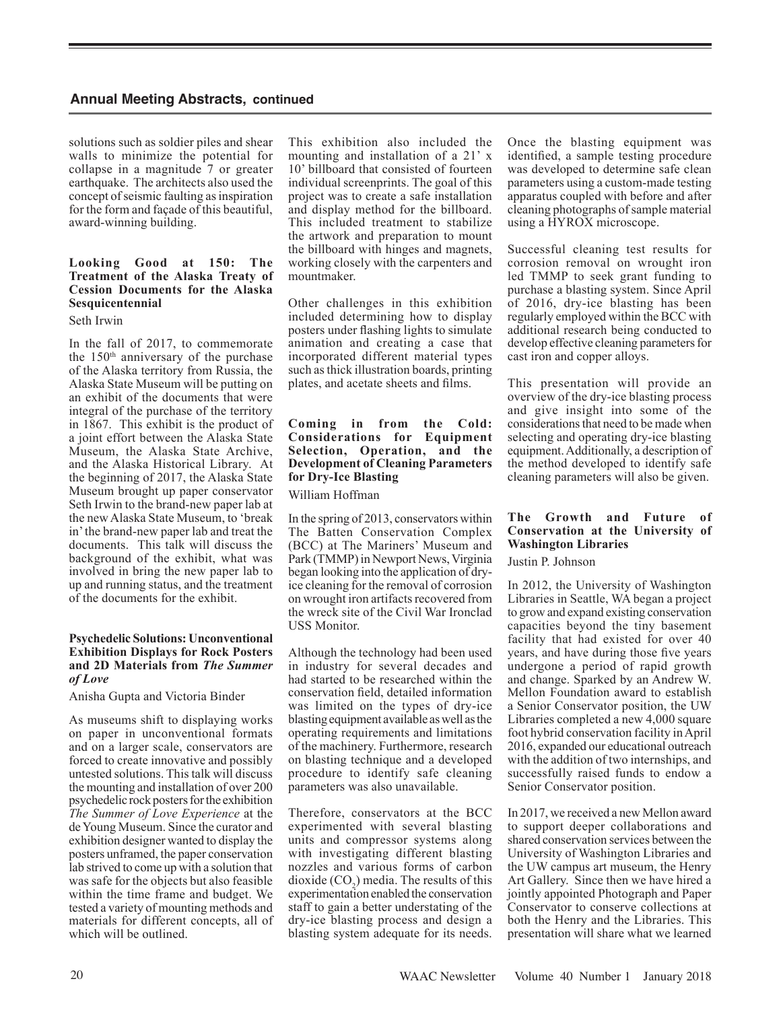### **Annual Meeting Abstracts, continued**

solutions such as soldier piles and shear walls to minimize the potential for collapse in a magnitude 7 or greater earthquake. The architects also used the concept of seismic faulting as inspiration for the form and façade of this beautiful, award-winning building.

#### **Looking Good at 150: The Treatment of the Alaska Treaty of Cession Documents for the Alaska Sesquicentennial**

Seth Irwin

In the fall of 2017, to commemorate the 150<sup>th</sup> anniversary of the purchase of the Alaska territory from Russia, the Alaska State Museum will be putting on an exhibit of the documents that were integral of the purchase of the territory in 1867. This exhibit is the product of a joint effort between the Alaska State Museum, the Alaska State Archive, and the Alaska Historical Library. At the beginning of 2017, the Alaska State Museum brought up paper conservator Seth Irwin to the brand-new paper lab at the new Alaska State Museum, to 'break in' the brand-new paper lab and treat the documents. This talk will discuss the background of the exhibit, what was involved in bring the new paper lab to up and running status, and the treatment of the documents for the exhibit.

#### **Psychedelic Solutions: Unconventional Exhibition Displays for Rock Posters and 2D Materials from** *The Summer of Love*

Anisha Gupta and Victoria Binder

As museums shift to displaying works on paper in unconventional formats and on a larger scale, conservators are forced to create innovative and possibly untested solutions. This talk will discuss the mounting and installation of over 200 psychedelic rock posters for the exhibition *The Summer of Love Experience* at the de Young Museum. Since the curator and exhibition designer wanted to display the posters unframed, the paper conservation lab strived to come up with a solution that was safe for the objects but also feasible within the time frame and budget. We tested a variety of mounting methods and materials for different concepts, all of which will be outlined.

This exhibition also included the mounting and installation of a 21' x 10' billboard that consisted of fourteen individual screenprints. The goal of this project was to create a safe installation and display method for the billboard. This included treatment to stabilize the artwork and preparation to mount the billboard with hinges and magnets, working closely with the carpenters and mountmaker.

Other challenges in this exhibition included determining how to display posters under flashing lights to simulate animation and creating a case that incorporated different material types such as thick illustration boards, printing plates, and acetate sheets and films.

#### **Coming in from the Cold: Considerations for Equipment Selection, Operation, and the Development of Cleaning Parameters for Dry-Ice Blasting**

William Hoffman

In the spring of 2013, conservators within The Batten Conservation Complex (BCC) at The Mariners' Museum and Park (TMMP) in Newport News, Virginia began looking into the application of dryice cleaning for the removal of corrosion on wrought iron artifacts recovered from the wreck site of the Civil War Ironclad USS Monitor.

Although the technology had been used in industry for several decades and had started to be researched within the conservation field, detailed information was limited on the types of dry-ice blasting equipment available as well as the operating requirements and limitations of the machinery. Furthermore, research on blasting technique and a developed procedure to identify safe cleaning parameters was also unavailable.

Therefore, conservators at the BCC experimented with several blasting units and compressor systems along with investigating different blasting nozzles and various forms of carbon dioxide  $(CO_2)$  media. The results of this experimentation enabled the conservation staff to gain a better understating of the dry-ice blasting process and design a blasting system adequate for its needs.

Once the blasting equipment was identified, a sample testing procedure was developed to determine safe clean parameters using a custom-made testing apparatus coupled with before and after cleaning photographs of sample material using a HYROX microscope.

Successful cleaning test results for corrosion removal on wrought iron led TMMP to seek grant funding to purchase a blasting system. Since April of 2016, dry-ice blasting has been regularly employed within the BCC with additional research being conducted to develop effective cleaning parameters for cast iron and copper alloys.

This presentation will provide an overview of the dry-ice blasting process and give insight into some of the considerations that need to be made when selecting and operating dry-ice blasting equipment. Additionally, a description of the method developed to identify safe cleaning parameters will also be given.

#### **The Growth and Future of Conservation at the University of Washington Libraries**

Justin P. Johnson

In 2012, the University of Washington Libraries in Seattle, WA began a project to grow and expand existing conservation capacities beyond the tiny basement facility that had existed for over 40 years, and have during those five years undergone a period of rapid growth and change. Sparked by an Andrew W. Mellon Foundation award to establish a Senior Conservator position, the UW Libraries completed a new 4,000 square foot hybrid conservation facility in April 2016, expanded our educational outreach with the addition of two internships, and successfully raised funds to endow a Senior Conservator position.

In 2017, we received a new Mellon award to support deeper collaborations and shared conservation services between the University of Washington Libraries and the UW campus art museum, the Henry Art Gallery. Since then we have hired a jointly appointed Photograph and Paper Conservator to conserve collections at both the Henry and the Libraries. This presentation will share what we learned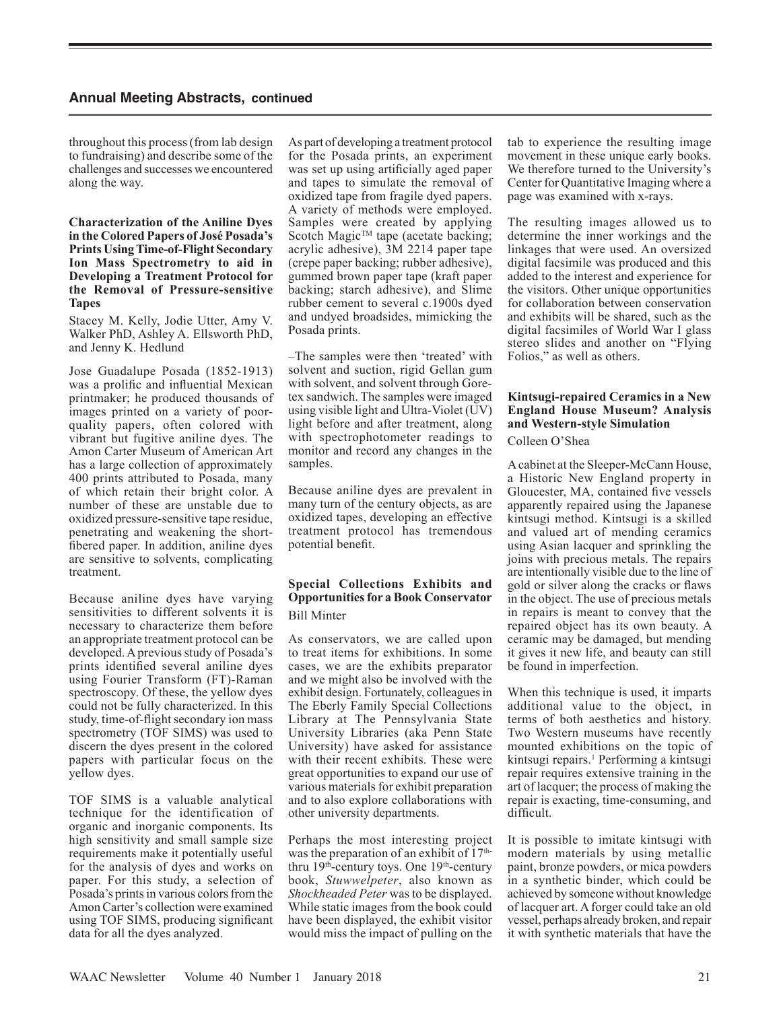# **Annual Meeting Abstracts, continued**

throughout this process (from lab design to fundraising) and describe some of the challenges and successes we encountered along the way.

#### **Characterization of the Aniline Dyes in the Colored Papers of José Posada's Prints Using Time-of-Flight Secondary Ion Mass Spectrometry to aid in Developing a Treatment Protocol for the Removal of Pressure-sensitive Tapes**

Stacey M. Kelly, Jodie Utter, Amy V. Walker PhD, Ashley A. Ellsworth PhD, and Jenny K. Hedlund

Jose Guadalupe Posada (1852-1913) was a prolific and influential Mexican printmaker; he produced thousands of images printed on a variety of poorquality papers, often colored with vibrant but fugitive aniline dyes. The Amon Carter Museum of American Art has a large collection of approximately 400 prints attributed to Posada, many of which retain their bright color. A number of these are unstable due to oxidized pressure-sensitive tape residue, penetrating and weakening the shortfibered paper. In addition, aniline dyes are sensitive to solvents, complicating treatment.

Because aniline dyes have varying sensitivities to different solvents it is necessary to characterize them before an appropriate treatment protocol can be developed. A previous study of Posada's prints identified several aniline dyes using Fourier Transform (FT)-Raman spectroscopy. Of these, the yellow dyes could not be fully characterized. In this study, time-of-flight secondary ion mass spectrometry (TOF SIMS) was used to discern the dyes present in the colored papers with particular focus on the yellow dyes.

TOF SIMS is a valuable analytical technique for the identification of organic and inorganic components. Its high sensitivity and small sample size requirements make it potentially useful for the analysis of dyes and works on paper. For this study, a selection of Posada's prints in various colors from the Amon Carter's collection were examined using TOF SIMS, producing significant data for all the dyes analyzed.

As part of developing a treatment protocol for the Posada prints, an experiment was set up using artificially aged paper and tapes to simulate the removal of oxidized tape from fragile dyed papers. A variety of methods were employed. Samples were created by applying Scotch Magic<sup>TM</sup> tape (acetate backing; acrylic adhesive), 3M 2214 paper tape (crepe paper backing; rubber adhesive), gummed brown paper tape (kraft paper backing; starch adhesive), and Slime rubber cement to several c.1900s dyed and undyed broadsides, mimicking the Posada prints.

–The samples were then 'treated' with solvent and suction, rigid Gellan gum with solvent, and solvent through Goretex sandwich. The samples were imaged using visible light and Ultra-Violet (UV) light before and after treatment, along with spectrophotometer readings to monitor and record any changes in the samples.

Because aniline dyes are prevalent in many turn of the century objects, as are oxidized tapes, developing an effective treatment protocol has tremendous potential benefit.

#### **Special Collections Exhibits and Opportunities for a Book Conservator** Bill Minter

As conservators, we are called upon to treat items for exhibitions. In some cases, we are the exhibits preparator and we might also be involved with the exhibit design. Fortunately, colleagues in The Eberly Family Special Collections Library at The Pennsylvania State University Libraries (aka Penn State University) have asked for assistance with their recent exhibits. These were great opportunities to expand our use of various materials for exhibit preparation and to also explore collaborations with other university departments.

Perhaps the most interesting project was the preparation of an exhibit of 17<sup>th-</sup> thru  $19<sup>th</sup>$ -century toys. One  $19<sup>th</sup>$ -century book, *Stuwwelpeter*, also known as *Shockheaded Peter* was to be displayed. While static images from the book could have been displayed, the exhibit visitor would miss the impact of pulling on the tab to experience the resulting image movement in these unique early books. We therefore turned to the University's Center for Quantitative Imaging where a page was examined with x-rays.

The resulting images allowed us to determine the inner workings and the linkages that were used. An oversized digital facsimile was produced and this added to the interest and experience for the visitors. Other unique opportunities for collaboration between conservation and exhibits will be shared, such as the digital facsimiles of World War I glass stereo slides and another on "Flying Folios," as well as others.

#### **Kintsugi-repaired Ceramics in a New England House Museum? Analysis and Western-style Simulation**

Colleen O'Shea

A cabinet at the Sleeper-McCann House, a Historic New England property in Gloucester, MA, contained five vessels apparently repaired using the Japanese kintsugi method. Kintsugi is a skilled and valued art of mending ceramics using Asian lacquer and sprinkling the joins with precious metals. The repairs are intentionally visible due to the line of gold or silver along the cracks or flaws in the object. The use of precious metals in repairs is meant to convey that the repaired object has its own beauty. A ceramic may be damaged, but mending it gives it new life, and beauty can still be found in imperfection.

When this technique is used, it imparts additional value to the object, in terms of both aesthetics and history. Two Western museums have recently mounted exhibitions on the topic of kintsugi repairs.<sup>1</sup> Performing a kintsugi repair requires extensive training in the art of lacquer; the process of making the repair is exacting, time-consuming, and difficult.

It is possible to imitate kintsugi with modern materials by using metallic paint, bronze powders, or mica powders in a synthetic binder, which could be achieved by someone without knowledge of lacquer art. A forger could take an old vessel, perhaps already broken, and repair it with synthetic materials that have the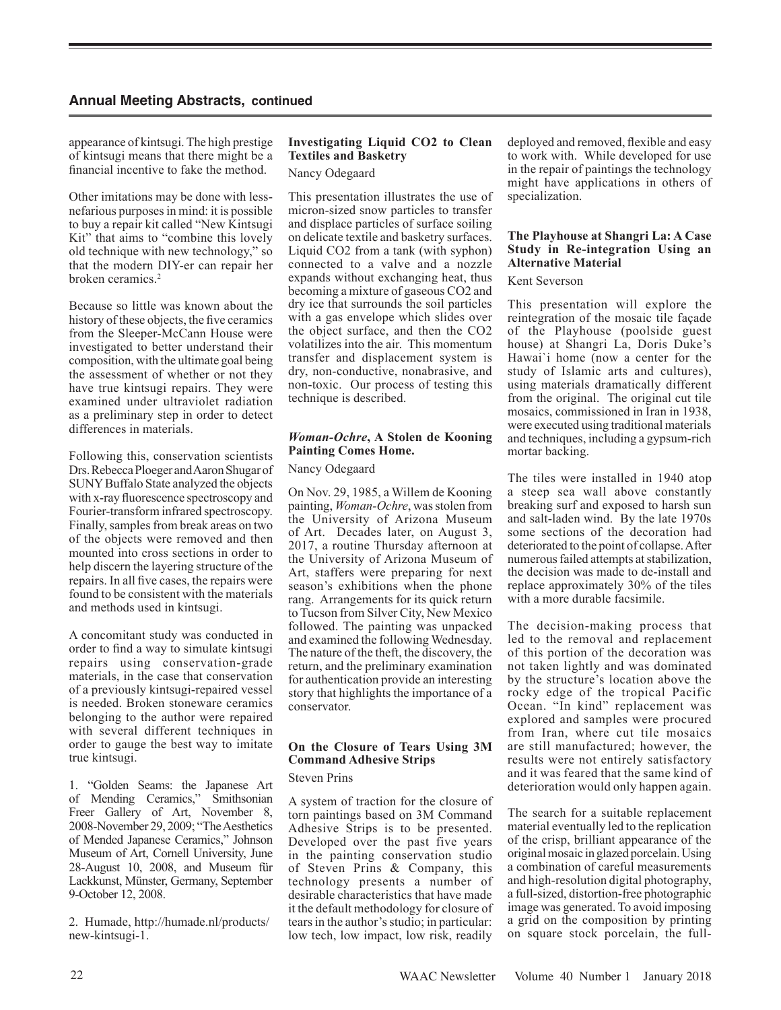appearance of kintsugi. The high prestige of kintsugi means that there might be a financial incentive to fake the method.

Other imitations may be done with lessnefarious purposes in mind: it is possible to buy a repair kit called "New Kintsugi Kit" that aims to "combine this lovely old technique with new technology," so that the modern DIY-er can repair her broken ceramics.2

Because so little was known about the history of these objects, the five ceramics from the Sleeper-McCann House were investigated to better understand their composition, with the ultimate goal being the assessment of whether or not they have true kintsugi repairs. They were examined under ultraviolet radiation as a preliminary step in order to detect differences in materials.

Following this, conservation scientists Drs. Rebecca Ploeger and Aaron Shugar of SUNY Buffalo State analyzed the objects with x-ray fluorescence spectroscopy and Fourier-transform infrared spectroscopy. Finally, samples from break areas on two of the objects were removed and then mounted into cross sections in order to help discern the layering structure of the repairs. In all five cases, the repairs were found to be consistent with the materials and methods used in kintsugi.

A concomitant study was conducted in order to find a way to simulate kintsugi repairs using conservation-grade materials, in the case that conservation of a previously kintsugi-repaired vessel is needed. Broken stoneware ceramics belonging to the author were repaired with several different techniques in order to gauge the best way to imitate true kintsugi.

1. "Golden Seams: the Japanese Art of Mending Ceramics," Smithsonian Freer Gallery of Art, November 8, 2008-November 29, 2009; "The Aesthetics of Mended Japanese Ceramics," Johnson Museum of Art, Cornell University, June 28-August 10, 2008, and Museum für Lackkunst, Münster, Germany, September 9-October 12, 2008.

2. Humade, http://humade.nl/products/ new-kintsugi-1.

#### **Investigating Liquid CO2 to Clean Textiles and Basketry**

Nancy Odegaard

This presentation illustrates the use of micron-sized snow particles to transfer and displace particles of surface soiling on delicate textile and basketry surfaces. Liquid CO2 from a tank (with syphon) connected to a valve and a nozzle expands without exchanging heat, thus becoming a mixture of gaseous CO2 and dry ice that surrounds the soil particles with a gas envelope which slides over the object surface, and then the CO2 volatilizes into the air. This momentum transfer and displacement system is dry, non-conductive, nonabrasive, and non-toxic. Our process of testing this technique is described.

### *Woman-Ochre***, A Stolen de Kooning Painting Comes Home.**

Nancy Odegaard

On Nov. 29, 1985, a Willem de Kooning painting, *Woman-Ochre*, was stolen from the University of Arizona Museum of Art. Decades later, on August 3, 2017, a routine Thursday afternoon at the University of Arizona Museum of Art, staffers were preparing for next season's exhibitions when the phone rang. Arrangements for its quick return to Tucson from Silver City, New Mexico followed. The painting was unpacked and examined the following Wednesday. The nature of the theft, the discovery, the return, and the preliminary examination for authentication provide an interesting story that highlights the importance of a conservator.

# **On the Closure of Tears Using 3M Command Adhesive Strips**

#### Steven Prins

A system of traction for the closure of torn paintings based on 3M Command Adhesive Strips is to be presented. Developed over the past five years in the painting conservation studio of Steven Prins & Company, this technology presents a number of desirable characteristics that have made it the default methodology for closure of tears in the author's studio; in particular: low tech, low impact, low risk, readily deployed and removed, flexible and easy to work with. While developed for use in the repair of paintings the technology might have applications in others of specialization.

#### **The Playhouse at Shangri La: A Case Study in Re-integration Using an Alternative Material**

# Kent Severson

This presentation will explore the reintegration of the mosaic tile façade of the Playhouse (poolside guest house) at Shangri La, Doris Duke's Hawai`i home (now a center for the study of Islamic arts and cultures), using materials dramatically different from the original. The original cut tile mosaics, commissioned in Iran in 1938, were executed using traditional materials and techniques, including a gypsum-rich mortar backing.

The tiles were installed in 1940 atop a steep sea wall above constantly breaking surf and exposed to harsh sun and salt-laden wind. By the late 1970s some sections of the decoration had deteriorated to the point of collapse. After numerous failed attempts at stabilization, the decision was made to de-install and replace approximately 30% of the tiles with a more durable facsimile.

The decision-making process that led to the removal and replacement of this portion of the decoration was not taken lightly and was dominated by the structure's location above the rocky edge of the tropical Pacific Ocean. "In kind" replacement was explored and samples were procured from Iran, where cut tile mosaics are still manufactured; however, the results were not entirely satisfactory and it was feared that the same kind of deterioration would only happen again.

The search for a suitable replacement material eventually led to the replication of the crisp, brilliant appearance of the original mosaic in glazed porcelain. Using a combination of careful measurements and high-resolution digital photography, a full-sized, distortion-free photographic image was generated. To avoid imposing a grid on the composition by printing on square stock porcelain, the full-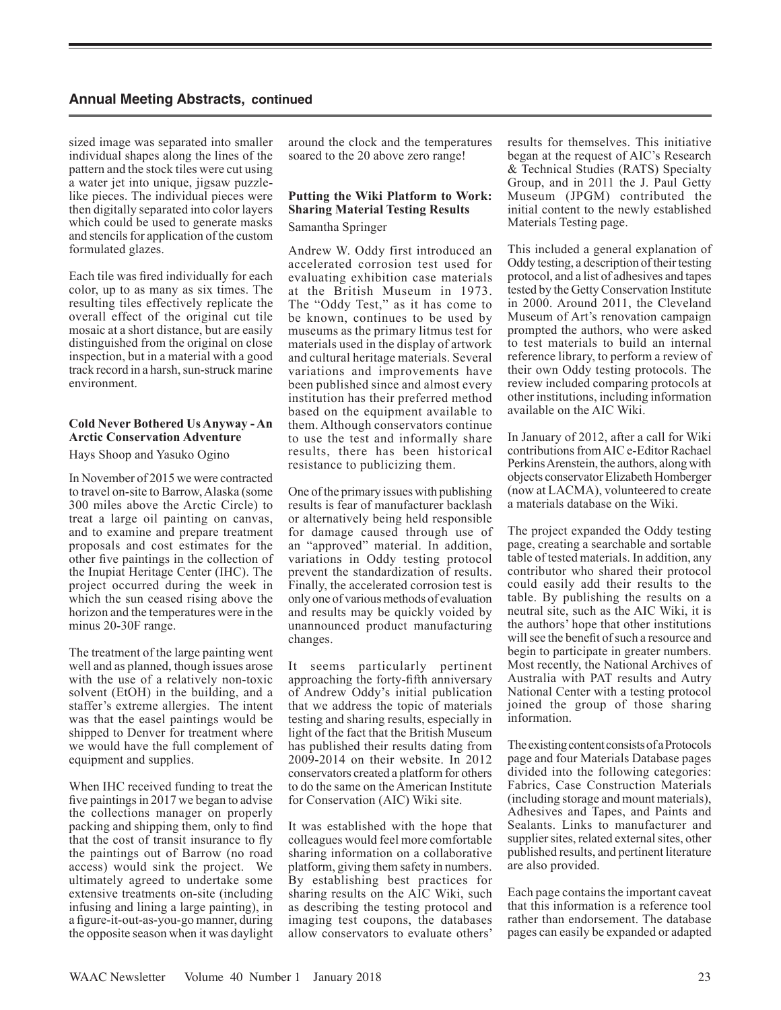# **Annual Meeting Abstracts, continued**

sized image was separated into smaller individual shapes along the lines of the pattern and the stock tiles were cut using a water jet into unique, jigsaw puzzlelike pieces. The individual pieces were then digitally separated into color layers which could be used to generate masks and stencils for application of the custom formulated glazes.

Each tile was fired individually for each color, up to as many as six times. The resulting tiles effectively replicate the overall effect of the original cut tile mosaic at a short distance, but are easily distinguished from the original on close inspection, but in a material with a good track record in a harsh, sun-struck marine environment.

#### **Cold Never Bothered Us Anyway - An Arctic Conservation Adventure**

Hays Shoop and Yasuko Ogino

In November of 2015 we were contracted to travel on-site to Barrow, Alaska (some 300 miles above the Arctic Circle) to treat a large oil painting on canvas, and to examine and prepare treatment proposals and cost estimates for the other five paintings in the collection of the Inupiat Heritage Center (IHC). The project occurred during the week in which the sun ceased rising above the horizon and the temperatures were in the minus 20-30F range.

The treatment of the large painting went well and as planned, though issues arose with the use of a relatively non-toxic solvent (EtOH) in the building, and a staffer's extreme allergies. The intent was that the easel paintings would be shipped to Denver for treatment where we would have the full complement of equipment and supplies.

When IHC received funding to treat the five paintings in 2017 we began to advise the collections manager on properly packing and shipping them, only to find that the cost of transit insurance to fly the paintings out of Barrow (no road access) would sink the project. We ultimately agreed to undertake some extensive treatments on-site (including infusing and lining a large painting), in a figure-it-out-as-you-go manner, during the opposite season when it was daylight

around the clock and the temperatures soared to the 20 above zero range!

# **Putting the Wiki Platform to Work: Sharing Material Testing Results**

Samantha Springer

Andrew W. Oddy first introduced an accelerated corrosion test used for evaluating exhibition case materials at the British Museum in 1973. The "Oddy Test," as it has come to be known, continues to be used by museums as the primary litmus test for materials used in the display of artwork and cultural heritage materials. Several variations and improvements have been published since and almost every institution has their preferred method based on the equipment available to them. Although conservators continue to use the test and informally share results, there has been historical resistance to publicizing them.

One of the primary issues with publishing results is fear of manufacturer backlash or alternatively being held responsible for damage caused through use of an "approved" material. In addition, variations in Oddy testing protocol prevent the standardization of results. Finally, the accelerated corrosion test is only one of various methods of evaluation and results may be quickly voided by unannounced product manufacturing changes.

It seems particularly pertinent approaching the forty-fifth anniversary of Andrew Oddy's initial publication that we address the topic of materials testing and sharing results, especially in light of the fact that the British Museum has published their results dating from 2009-2014 on their website. In 2012 conservators created a platform for others to do the same on the American Institute for Conservation (AIC) Wiki site.

It was established with the hope that colleagues would feel more comfortable sharing information on a collaborative platform, giving them safety in numbers. By establishing best practices for sharing results on the AIC Wiki, such as describing the testing protocol and imaging test coupons, the databases allow conservators to evaluate others'

results for themselves. This initiative began at the request of AIC's Research & Technical Studies (RATS) Specialty Group, and in 2011 the J. Paul Getty Museum (JPGM) contributed the initial content to the newly established Materials Testing page.

This included a general explanation of Oddy testing, a description of their testing protocol, and a list of adhesives and tapes tested by the Getty Conservation Institute in 2000. Around 2011, the Cleveland Museum of Art's renovation campaign prompted the authors, who were asked to test materials to build an internal reference library, to perform a review of their own Oddy testing protocols. The review included comparing protocols at other institutions, including information available on the AIC Wiki.

In January of 2012, after a call for Wiki contributions from AIC e-Editor Rachael Perkins Arenstein, the authors, along with objects conservator Elizabeth Homberger (now at LACMA), volunteered to create a materials database on the Wiki.

The project expanded the Oddy testing page, creating a searchable and sortable table of tested materials. In addition, any contributor who shared their protocol could easily add their results to the table. By publishing the results on a neutral site, such as the AIC Wiki, it is the authors' hope that other institutions will see the benefit of such a resource and begin to participate in greater numbers. Most recently, the National Archives of Australia with PAT results and Autry National Center with a testing protocol joined the group of those sharing information.

The existing content consists of a Protocols page and four Materials Database pages divided into the following categories: Fabrics, Case Construction Materials (including storage and mount materials), Adhesives and Tapes, and Paints and Sealants. Links to manufacturer and supplier sites, related external sites, other published results, and pertinent literature are also provided.

Each page contains the important caveat that this information is a reference tool rather than endorsement. The database pages can easily be expanded or adapted